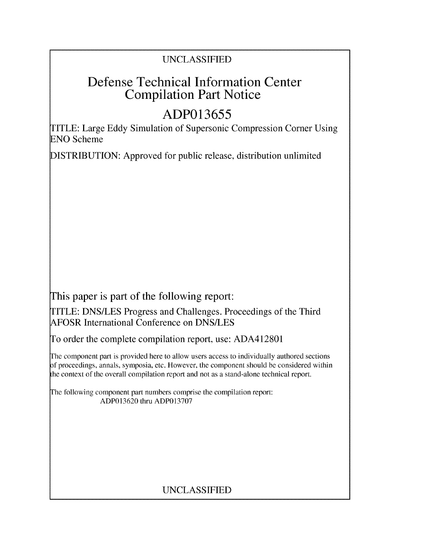## UNCLASSIFIED

# Defense Technical Information Center Compilation Part Notice

# **ADP013655**

TITLE: Large Eddy Simulation of Supersonic Compression Corner Using **ENO** Scheme

DISTRIBUTION: Approved for public release, distribution unlimited

This paper is part of the following report:

TITLE: DNS/LES Progress and Challenges. Proceedings of the Third AFOSR International Conference on DNS/LES

To order the complete compilation report, use: ADA412801

The component part is provided here to allow users access to individually authored sections f proceedings, annals, symposia, etc. However, the component should be considered within the context of the overall compilation report and not as a stand-alone technical report.

The following component part numbers comprise the compilation report: ADP013620 thru ADP013707

## UNCLASSIFIED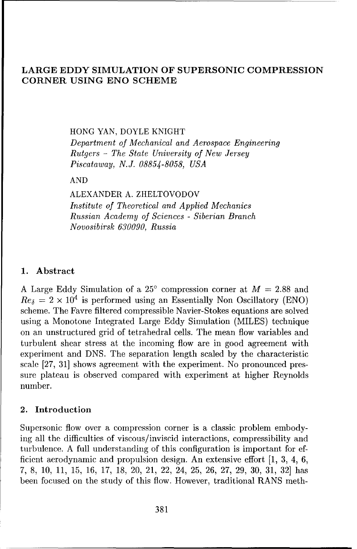### LARGE EDDY SIMULATION OF SUPERSONIC **COMPRESSION** CORNER **USING ENO SCHEME**

#### HONG YAN, DOYLE KNIGHT

Department *of Mechanical and Aerospace* Engineering *Rutgers - The State University of New Jersey Piscataway, N.J. 08854-8058, USA*

#### AND

ALEXANDER A. ZHELTOVODOV *Institute of Theoretical and Applied Mechanics Russian Academy of Sciences* - Siberian Branch *Novosibirsk 630090, Russia*

#### **1.** Abstract

A Large Eddy Simulation of a  $25^{\circ}$  compression corner at  $M = 2.88$  and  $Res = 2 \times 10^4$  is performed using an Essentially Non Oscillatory (ENO) scheme. The Favre filtered compressible Navier-Stokes equations are solved using a Monotone Integrated Large Eddy Simulation (MILES) technique on an unstructured grid of tetrahedral cells. The mean flow variables and turbulent shear stress at the incoming flow are in good agreement with experiment and DNS. The separation length scaled by the characteristic scale [27, 31] shows agreement with the experiment. No pronounced pressure plateau is observed compared with experiment at higher Reynolds number.

#### 2. Introduction

Supersonic flow over a compression corner is a classic problem embodying all the difficulties of viscous/inviscid interactions, compressibility and turbulence. A full understanding of this configuration is important for efficient aerodynamic and propulsion design. An extensive effort [1, 3, 4, 6, 7, 8, 10, 11, 15, 16, 17, 18, 20, 21, 22, 24, 25, 26, 27, 29, 30, 31, 32] has been focused on the study of this flow. However, traditional RANS meth-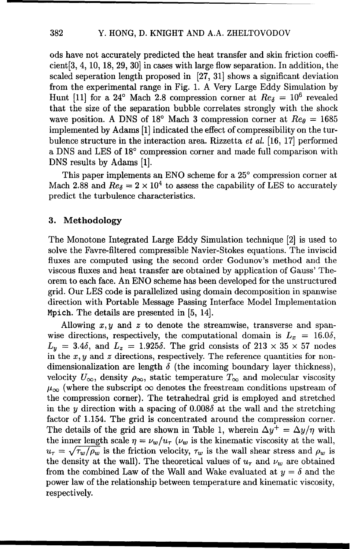ods have not accurately predicted the heat transfer and skin friction coefficient[3, 4, 10, 18, 29, 30] in cases with large flow separation. In addition, the scaled seperation length proposed in [27, 31] shows a significant deviation from the experimental range in Fig. 1. A Very Large Eddy Simulation by Hunt [11] for a 24° Mach 2.8 compression corner at  $Re_8 = 10^6$  revealed that the size of the separation bubble correlates strongly with the shock wave position. A DNS of 18<sup>o</sup> Mach 3 compression corner at  $Re_\theta = 1685$ implemented by Adams [1] indicated the effect of compressibility on the turbulence structure in the interaction area. Rizzetta *et al.* [16, 17] performed a DNS and LES of 18° compression corner and made full comparison with DNS results by Adams [1].

This paper implements an ENO scheme for a **250** compression corner at Mach 2.88 and  $Re_\delta = 2 \times 10^4$  to assess the capability of LES to accurately predict the turbulence characteristics.

#### **3.** Methodology

The Monotone Integrated Large Eddy Simulation technique [2] is used to solve the Favre-filtered compressible Navier-Stokes equations. The inviscid fluxes are computed using the second order Godunov's method and the viscous fluxes and heat transfer are obtained by application of Gauss' Theorem to each face. An ENO scheme has been developed for the unstructured grid. Our LES code is parallelized using domain decomposition in spanwise direction with Portable Message Passing Interface Model Implementation Mpich. The details are presented in [5, 14].

Allowing  $x, y$  and z to denote the streamwise, transverse and spanwise directions, respectively, the computational domain is  $L_x = 16.0\delta$ ,  $L_y = 3.4\delta$ , and  $L_z = 1.925\delta$ . The grid consists of  $213 \times 35 \times 57$  nodes in the  $x, y$  and  $z$  directions, respectively. The reference quantities for nondimensionalization are length  $\delta$  (the incoming boundary layer thickness), velocity  $U_{\infty}$ , density  $\rho_{\infty}$ , static temperature  $T_{\infty}$  and molecular viscosity  $\mu_{\infty}$  (where the subscript  $\infty$  denotes the freestream conditions upstream of the compression corner). The tetrahedral grid is employed and stretched in the y direction with a spacing of  $0.008\delta$  at the wall and the stretching factor of 1.154. The grid is concentrated around the compression corner. The details of the grid are shown in Table 1, wherein  $\Delta y^+ = \Delta y/\eta$  with the inner length scale  $\eta = \nu_w/u_\tau$  ( $\nu_w$  is the kinematic viscosity at the wall,  $u_{\tau} = \sqrt{\tau_w/\rho_w}$  is the friction velocity,  $\tau_w$  is the wall shear stress and  $\rho_w$  is the density at the wall). The theoretical values of  $u<sub>\tau</sub>$  and  $\nu<sub>w</sub>$  are obtained from the combined Law of the Wall and Wake evaluated at  $y = \delta$  and the power law of the relationship between temperature and kinematic viscosity, respectively.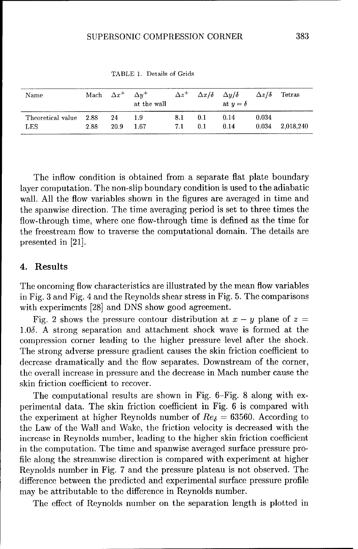| Name              |      | Mach $\Delta x^+$ | $\Delta u^+$<br>at the wall | $\Delta z^+$ |     | $\Delta x/\delta$ $\Delta y/\delta$<br>at $y=\delta$ | $\Delta z/\delta$ | Tetras    |
|-------------------|------|-------------------|-----------------------------|--------------|-----|------------------------------------------------------|-------------------|-----------|
| Theoretical value | 2.88 | 24                | 1.9                         | 8.1          | 0.1 | 0.14                                                 | 0.034             | 2.018.240 |
| <b>LES</b>        | 2.88 | 20.9              | 1.67                        | 7.1          | 0.1 | 0.14                                                 | 0.034             |           |

TABLE 1. Details of Grids

The inflow condition is obtained from a separate flat plate boundary layer computation. The non-slip boundary condition is used to the adiabatic wall. All the flow variables shown in the figures are averaged in time and the spanwise direction. The time averaging period is set to three times the flow-through time, where one flow-through time is defined as the time for the freestream flow to traverse the computational domain. The details are presented in [21].

### 4. Results

The oncoming flow characteristics are illustrated by the mean flow variables in Fig. 3 and Fig. 4 and the Reynolds shear stress in Fig. 5. The comparisons with experiments [28] and DNS show good agreement.

Fig. 2 shows the pressure contour distribution at  $x - y$  plane of  $z =$  $1.0\delta$ . A strong separation and attachment shock wave is formed at the compression corner leading to the higher pressure level after the shock. The strong adverse pressure gradient causes the skin friction coefficient to decrease dramatically and the flow separates. Downstream of the corner, the overall increase in pressure and the decrease in Mach number cause the skin friction coefficient to recover.

The computational results are shown in Fig. 6-Fig. 8 along with experimental data. The skin friction coefficient in Fig. 6 is compared with the experiment at higher Reynolds number of  $Re_{\delta} = 63560$ . According to the Law of the Wall and Wake, the friction velocity is decreased with the increase in Reynolds number, leading to the higher skin friction coefficient in the computation. The time and spanwise averaged surface pressure profile along the streamwise direction is compared with experiment at higher Reynolds number in Fig. 7 and the pressure plateau is not observed. The difference between the predicted and experimental surface pressure profile may be attributable to the difference in Reynolds number.

The effect of Reynolds number on the separation length is plotted in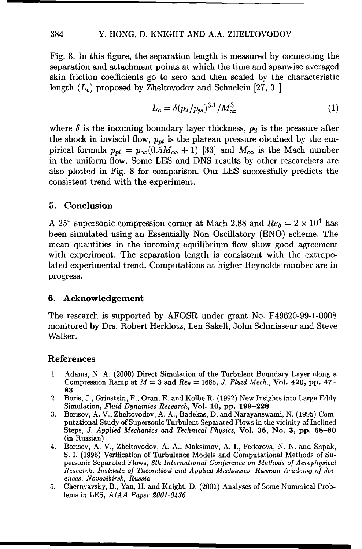#### 384 Y. HONG, D. KNIGHT AND A.A. ZHELTOVODOV

Fig. 8. In this figure, the separation length is measured by connecting the separation and attachment points at which the time and spanwise averaged skin friction coefficients go to zero and then scaled by the characteristic length  $(L_c)$  proposed by Zheltovodov and Schuelein [27, 31]

$$
L_c = \delta (p_2 / p_{pl})^{3.1} / M_{\infty}^3 \tag{1}
$$

where  $\delta$  is the incoming boundary layer thickness,  $p_2$  is the pressure after the shock in inviscid flow,  $p_{nl}$  is the plateau pressure obtained by the empirical formula  $p_{pl} = p_{\infty}(0.5M_{\infty} + 1)$  [33] and  $M_{\infty}$  is the Mach number in the uniform flow. Some LES and DNS results by other researchers are also plotted in Fig. 8 for comparison. Our **LES** successfully predicts the consistent trend with the experiment.

#### **5.** Conclusion

A 25° supersonic compression corner at Mach 2.88 and  $Re_\delta = 2 \times 10^4$  has been simulated using an Essentially Non Oscillatory (ENO) scheme. The mean quantities in the incoming equilibrium flow show good agreement with experiment. The separation length is consistent with the extrapolated experimental trend. Computations at higher Reynolds number are in progress.

#### **6.** Acknowledgement

The research is supported by AFOSR under grant No. F49620-99-1-0008 monitored by Drs. Robert Herklotz, Len Sakell, John Schmisseur and Steve Walker.

#### References

- 1. Adams, N. A. (2000) Direct Simulation of the Turbulent Boundary Layer along a Compression Ramp at  $M = 3$  and  $Re_\theta = 1685$ , *J. Fluid Mech.*, Vol. 420, pp. 47– 83
- 2. Boris, J., Grinstein, F., Oran, E. and Kolbe R. (1992) New Insights into Large Eddy Simulation, Fluid Dynamics Research, Vol. 10, pp. 199-228
- 3. Borisov, A. V., Zheltovodov, A. A., Badekas, D. and Narayanswami, N. (1995) Computational Study of Supersonic Turbulent Separated Flows in the vicinity of Inclined Steps, *J. Applied Mechanics* and Technical *Physics,* Vol. **36,** No. **3,** pp. 68-80 (in Russian)
- 4. Borisov, A. V., Zheltovodov, A. A., Maksimov, A. I., Fedorova, N. N. and Shpak, S. I. (1996) Verification of Turbulence Models and Computational Methods of Supersonic Separated Flows, 8th International Conference on *Methods of* Aerophysical Research, Institute *of Theoretical* and *Applied Mechanics,* Russian Academy *of Sciences, Novosibirsk, Russia*
- 5. Chernyavsky, B., Yan, H. and Knight, D. (2001) Analyses of Some Numerical Problems in LES, AIAA *Paper 2001-0436*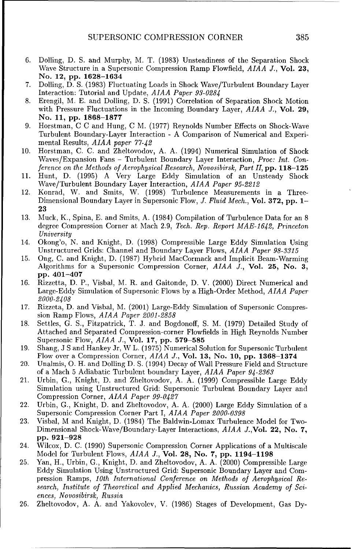- 6. Dolling, D. S. and Murphy, M. T. (1983) Unsteadiness of the Separation Shock Wave Structure in a Supersonic Compression Ramp Flowfield, *AIAA J.,* Vol. **23,** No. 12, pp. 1628-1634
- 7. Dolling, D. S. (1983) Fluctuating Loads in Shock Wave/Turbulent Boundary Layer Interaction: Tutorial and Update, AIAA *Paper 93-0284*
- 8. Erengil, M. **E.** and Dolling, D. **S.** (1991) Correlation of Separation Shock Motion with Pressure Fluctuations in the Incoming Boundary Layer, *AIAA J.,* Vol. **29,** No. **11, pp. 1868-1877**
- 9. Horstman, C C and Hung, C M. (1977) Reynolds Number Effects on Shock-Wave Turbulent Boundary-Layer Interaction - A Comparison of Numerical and Experimental Results, *AIAA* paper 77-42
- 10. Horstman, C. C. and Zheltovodov, A. A. (1994) Numerical Simulation of Shock Waves/Expansion Fans - Turbulent Boundary Layer Interaction, Proc: Int. Conference on *the Methods of Aerophysical Research, Novosibirsk, Part II,* **pp. 118-125**
- 11. Hunt, D. (1995) A Very Large Eddy Simulation of an Unsteady Shock Wave/Turbulent Boundary Layer Interaction, AIAA *Paper 95-2212*
- 12. Konrad, W. and Smits, W. (1998) Turbulence Measurements in a Three-Dimensional Boundary Layer in Supersonic Flow, J. *Fluid Mech.,* Vol. **372, pp.** 1- **23**
- 13. Muck, K., Spina, E. and Smits, A. (1984) Compilation of Turbulence Data for an 8 degree Compression Corner at Mach 2.9, *Tech. Rep. Report MAE-i642,* Princeton University
- 14. Okong'o, N. and Knight, D. (1998) Compressible Large Eddy Simulation Using Unstructured Grids: Channel and Boundary Layer Flows, *AIAA Paper 98-3315*
- 15. Ong, C. and Knight, D. (1987) Hybrid MacCormack and Implicit Beam-Warming Algorithms for a Supersonic Compression Corner, *AIAA J.,* Vol. **25,** No. **3, pp.** 401-407
- 16. Rizzetta, D. P., Visbal, M. R. and Gaitonde, D. V. (2000) Direct Numerical and Large-Eddy Simulation of Supersonic Flows by a High-Order Method, *AIAA Paper 2000-2408*
- 17. Rizzeta, D. and Visbal, M. (2001) Large-Eddy Simulation of Supersonic Compression Ramp Flows, *AIAA Paper 2001-2858*
- 18. Settles, G. S., Fitzpatrick, T. J. and Bogdonoff, S. M. (1979) Detailed Study of Attached and Separated Compression-corner Flowfields in High Reynolds Number Supersonic Flow, *AIAA J.,* Vol. **17, pp. 579-585**
- 19. Shang, J S and Hankey Jr, W L. (1975) Numerical Solution for Supersonic Turbulent Flow over a Compression Corner, *AIAA J.,* Vol. **13,** No. **10, pp. 1368-1374**
- 20. Unalmis, **0.** H. and Dolling D. **S.** (1994) Decay of Wall Pressure Field and Structure of a Mach 5 Adiabatic Turbulent boundary Layer, *AIAA Paper 94-2363*
- 21. Urbin, G., Knight, D. and Zheltovodov, A. A. (1999) Compressible Large Eddy Simulation using Unstructured Grid: Supersonic Turbulent Boundary Layer and Compression Corner, *AIAA Paper 99-0427*
- 22. Urbin, G., Knight, D. and Zheltovodov, A. A. (2000) Large Eddy Simulation of a Supersonic Compression Corner Part I, *AIAA Paper 2000-0398*
- 23. Visbal, M and Knight, D. (1984) Tie Baldwin-Lomax Turbulence Model for Two-Dimensional Shock-Wave/Boundary-Layer Interactions, AIAA J.,Vol. 22, No. 7, **pp. 921-928**
- 24. Wilcox, D. C. (1990) Supersonic Compression Corner Applications of a Multiscale Model for Turbulent Flows, *AIAA J.,* Vol. 28, No. 7, **pp.** 1194-1198
- 25. Yan, H., Urbin, G., Knight, D. and Zheltovodov, A. A. (2000) Compressible Large Eddy Simulation Using Unstructured Grid: Supersonic Boundary Layer and Compression Ramps, *10th* International Conference on *Methods of Aerophysical Re*search, Institute *of Theoretical* and *Applied Mechanics,* Russian Academy *of Sciences, Novosibirsk, Russia*
- 26. Zheltovodov, A. A. and Yakovolev, V. (1986) Stages of Development, Gas Dy-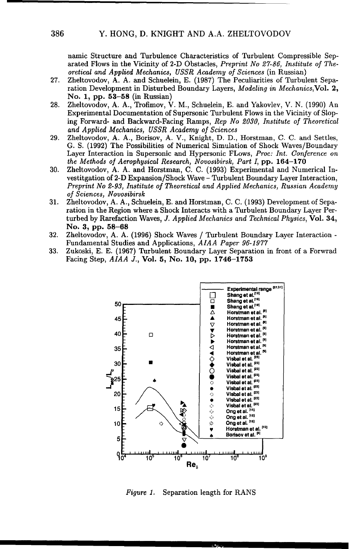namic Structure and Turbulence Characteristics of Turbulent Compressible Separated Flows in the Vicinity of 2-D Obstacles, Preprint *No 27-86, Institute of The*oretical and *Applied Mechanics, USSR Academy of Sciences* (in Russian)

- 27. Zheltovodov, A. A. and Schuelein, E. (1987) The Peculiarities of Turbulent Separation Development in Disturbed Boundary Layers, Modeling in Mechanics,Vol. 2, No. 1, **pp.** 53-58 (in Russian)
- 28. Zheltovodov, A. A., Trofimov, V. M., Schuelein, E. and Yakovlev, V. N. (1990) An Experimental Documentation of Supersonic Turbulent Flows in the Vicinity of Sloping Forward- and Backward-Facing Ramps, *Rep No 2030, Institute of Theoretical* and Applied *Mechanics, USSR Academy of Sciences*
- 29. Zheltovodov, A. A., Borisov, A. V., Knight, D. D., Horstman, C. C. and Settles, G. **S.** (1992) The Possibilities of Numerical Simulation of Shock Waves/Boundary Layer Interaction in Supersonic and Hypersonic FLows, Proc: Int. Conference on *the Methods of Aerophysical Research, Novosibirsk, Part* I, pp. 164-170
- 30. Zheltovodov, A. A. and Horstman, C. C. (1993) Experimental and Numerical Investitgation of 2-D Expansion/Shock Wave - Turbulent Boundary Layer Interaction, Preprint *No 2-93, Institute of Theoretical* and *Applied Mechanics,* Russian Academy *of Sciences, Novosibirsk*
- 31. Zheltovodov, A. A., Schuelein, E. and Horstman, C. C. (1993) Development of Separation in the Region where a Shock Interacts with a Turbulent Boundary Layer Perturbed by Rarefaction Waves, *J. Applied* Mechanics and Technical Physics, Vol. 34, No. **3, pp.** 58-68
- 32. Zheltovodov, A. A. (1996) Shock Waves / Turbulent Boundary Layer Interaction Fundamental Studies and Applications, AIAA *Paper 96-1977*
- 33. Zukoski, E. E. (1967) Turbulent Boundary Layer Separation in front of a Forwrad Facing Step, *AIAA J.,* Vol. 5, No. 10, pp. 1746-1753



Figure 1. Separation length for RANS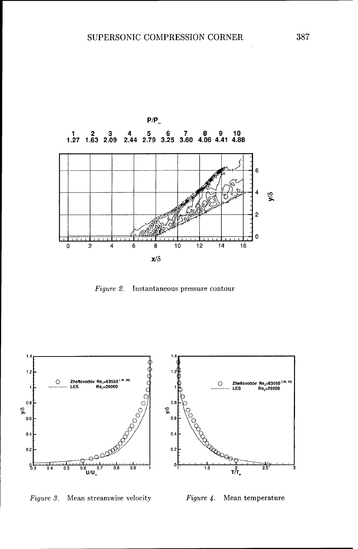

Figure 2. Instantaneous pressure contour



Figure **3.** Mean streamwise velocity Figure 4. Mean temperature